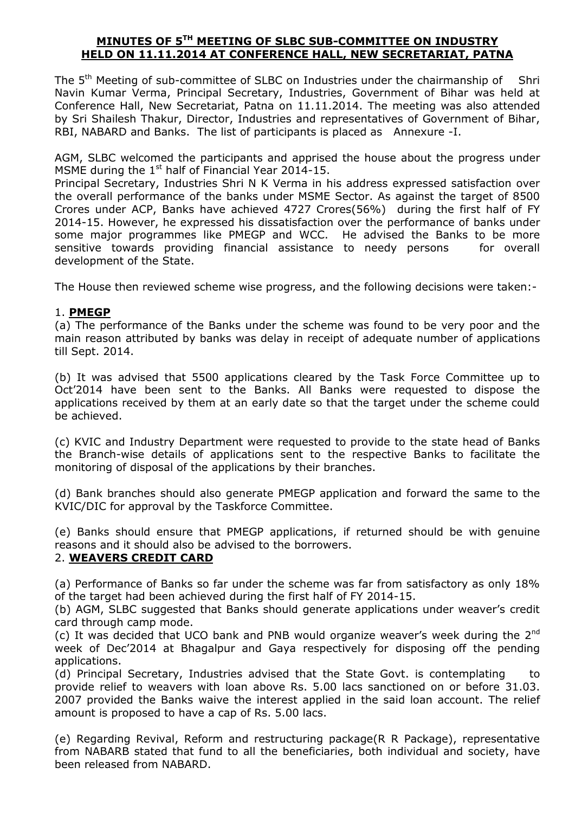## **MINUTES OF 5TH MEETING OF SLBC SUB-COMMITTEE ON INDUSTRY HELD ON 11.11.2014 AT CONFERENCE HALL, NEW SECRETARIAT, PATNA**

The 5<sup>th</sup> Meeting of sub-committee of SLBC on Industries under the chairmanship of Shri Navin Kumar Verma, Principal Secretary, Industries, Government of Bihar was held at Conference Hall, New Secretariat, Patna on 11.11.2014. The meeting was also attended by Sri Shailesh Thakur, Director, Industries and representatives of Government of Bihar, RBI, NABARD and Banks. The list of participants is placed as Annexure -I.

AGM, SLBC welcomed the participants and apprised the house about the progress under MSME during the  $1<sup>st</sup>$  half of Financial Year 2014-15.

Principal Secretary, Industries Shri N K Verma in his address expressed satisfaction over the overall performance of the banks under MSME Sector. As against the target of 8500 Crores under ACP, Banks have achieved 4727 Crores(56%) during the first half of FY 2014-15. However, he expressed his dissatisfaction over the performance of banks under some major programmes like PMEGP and WCC. He advised the Banks to be more sensitive towards providing financial assistance to needy persons for overall development of the State.

The House then reviewed scheme wise progress, and the following decisions were taken:-

## 1. **PMEGP**

(a) The performance of the Banks under the scheme was found to be very poor and the main reason attributed by banks was delay in receipt of adequate number of applications till Sept. 2014.

(b) It was advised that 5500 applications cleared by the Task Force Committee up to Oct'2014 have been sent to the Banks. All Banks were requested to dispose the applications received by them at an early date so that the target under the scheme could be achieved.

(c) KVIC and Industry Department were requested to provide to the state head of Banks the Branch-wise details of applications sent to the respective Banks to facilitate the monitoring of disposal of the applications by their branches.

(d) Bank branches should also generate PMEGP application and forward the same to the KVIC/DIC for approval by the Taskforce Committee.

(e) Banks should ensure that PMEGP applications, if returned should be with genuine reasons and it should also be advised to the borrowers.

## 2. **WEAVERS CREDIT CARD**

(a) Performance of Banks so far under the scheme was far from satisfactory as only 18% of the target had been achieved during the first half of FY 2014-15.

(b) AGM, SLBC suggested that Banks should generate applications under weaver's credit card through camp mode.

(c) It was decided that UCO bank and PNB would organize weaver's week during the 2nd week of Dec'2014 at Bhagalpur and Gaya respectively for disposing off the pending applications.

(d) Principal Secretary, Industries advised that the State Govt. is contemplating to provide relief to weavers with loan above Rs. 5.00 lacs sanctioned on or before 31.03. 2007 provided the Banks waive the interest applied in the said loan account. The relief amount is proposed to have a cap of Rs. 5.00 lacs.

(e) Regarding Revival, Reform and restructuring package(R R Package), representative from NABARB stated that fund to all the beneficiaries, both individual and society, have been released from NABARD.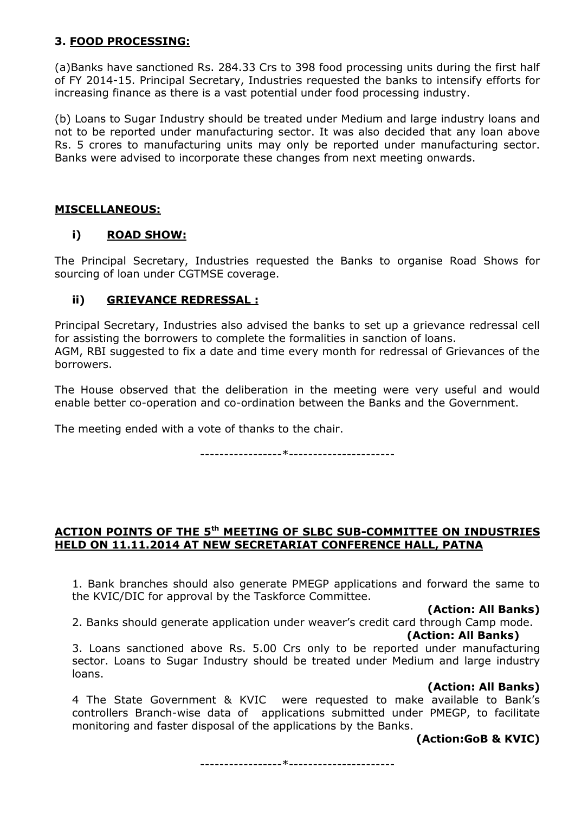# **3. FOOD PROCESSING:**

(a)Banks have sanctioned Rs. 284.33 Crs to 398 food processing units during the first half of FY 2014-15. Principal Secretary, Industries requested the banks to intensify efforts for increasing finance as there is a vast potential under food processing industry.

(b) Loans to Sugar Industry should be treated under Medium and large industry loans and not to be reported under manufacturing sector. It was also decided that any loan above Rs. 5 crores to manufacturing units may only be reported under manufacturing sector. Banks were advised to incorporate these changes from next meeting onwards.

## **MISCELLANEOUS:**

## **i) ROAD SHOW:**

The Principal Secretary, Industries requested the Banks to organise Road Shows for sourcing of loan under CGTMSE coverage.

## **ii) GRIEVANCE REDRESSAL :**

Principal Secretary, Industries also advised the banks to set up a grievance redressal cell for assisting the borrowers to complete the formalities in sanction of loans. AGM, RBI suggested to fix a date and time every month for redressal of Grievances of the borrowers.

The House observed that the deliberation in the meeting were very useful and would enable better co-operation and co-ordination between the Banks and the Government.

The meeting ended with a vote of thanks to the chair.

-----------------\*----------------------

## **ACTION POINTS OF THE 5th MEETING OF SLBC SUB-COMMITTEE ON INDUSTRIES HELD ON 11.11.2014 AT NEW SECRETARIAT CONFERENCE HALL, PATNA**

1. Bank branches should also generate PMEGP applications and forward the same to the KVIC/DIC for approval by the Taskforce Committee.

## **(Action: All Banks)**

2. Banks should generate application under weaver's credit card through Camp mode.  **(Action: All Banks)** 

3. Loans sanctioned above Rs. 5.00 Crs only to be reported under manufacturing sector. Loans to Sugar Industry should be treated under Medium and large industry loans.

#### **(Action: All Banks)**

4 The State Government & KVIC were requested to make available to Bank's controllers Branch-wise data of applications submitted under PMEGP, to facilitate monitoring and faster disposal of the applications by the Banks.

## **(Action:GoB & KVIC)**

-----------------\*----------------------